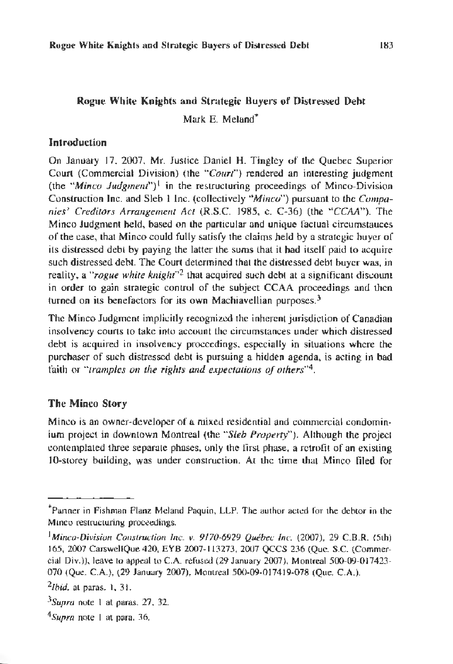# Rogue White Knights and Strategic Buyers of Distressed Debt Mark E. Meland\*

### **Introduction**

On January 17, 2007, Mr. Justice Daniel H. Tingley of the Quebec Superior Courl (Commercial Division) (the *"Court")* rendered an interesting judgment (the "*Minco Judgment*")<sup>1</sup> in the restructuring proceedings of Minco-Division Conslruclion lnc. and Sleb l Inc. (collectively *"Minco")* pursuant to the *Companies' Credicors Arrangement Act* (R.S.C. 1985, c. C-36) (the *"CCAA").* The Minco Judgment held, based on the particular and unique factual circumstances of the case, that Minco could fully satisfy the claims held by a strategic buyer of its distressed debt by paying the latter the sums that it had itself paid to acquire such distressed debt. The Court determined that the distressed debt buyer was, in reality, a "rogue *white* knight"*2* that acquired such debt al a significant discount in order to gain strategic control of the subject CCAA proceedings and then turned on its benefactors for its own Machiavellian purposes.<sup>3</sup>

The Minco Judgment implicitly recognized the inherent jurisdiction of Canadian insolvency courts to lake into account the circumstances under which distressed debt is acquired in insolvency proceedings, especially in situations where the purchaser of such distressed debt is pursuing a hidden agenda, is acting in bad failh or *''tramples on the rights and expectations of others"4.* 

## The Minco Story

Minco is an owner-developer of a mixed residential and commercial condominium project in downtown Montreal (the "Sleb Property"). Although the project contemplated three separate phases, only the first phase, a retrofit of an existing 10-storey building, was under construction. At lhc time that Minco filed for

<sup>\*</sup>Panner in Fishman Flanz Meland Paquin, LLP. The author acted for the debtor in the Minco restructuring proceedings.

<sup>&</sup>lt;sup>1</sup>Minco-Division Construction Inc. *v.* 9170-6929 Québec Inc. (2007), 29 C.B.R. (5th) 165, 2007 CarswellQue 420, EYB 2007-113273, 2007 QCCS 236 (Que. S.C. (Commercial Div.)), leave to appeal to CA. refused (29 January 2007), Montreal 500-09-0 17423- 070 (Que. C.A.), (29 January 2007), Montreal 500-09-017419-078 (Que. C.A.).

*<sup>2</sup>Jbid.* at paras. 1, 31.

 $3$ Supra note 1 at paras. 27, 32.

*<sup>&</sup>lt;sup>4</sup>Supra* note I at para. 36.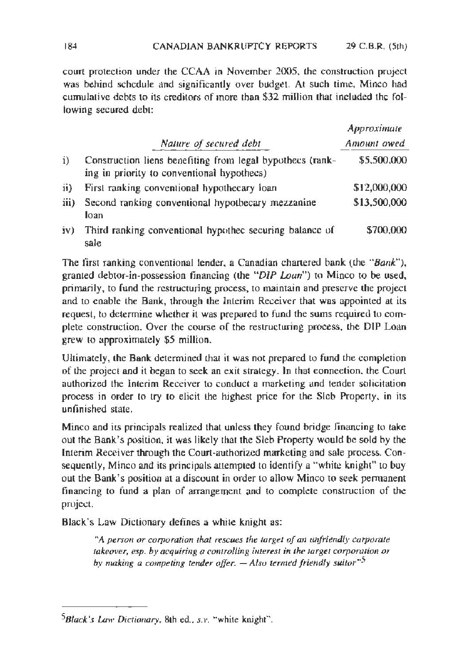court protection under the CCAA in November 2005, the construction project was behind schedule and significantly over budget. At such time, Minco had cumulative debts to its creditors of more than \$32 million that included the following secured debt:

|      |                                                                                                         | Approximate  |
|------|---------------------------------------------------------------------------------------------------------|--------------|
|      | Nature of secured debt                                                                                  | Amount owed  |
| i)   | Construction liens benefiting from legal bypothecs (rank-<br>ing in priority to conventional hypothecs) | \$5,500,000  |
| ji)  | First ranking conventional hypothecary loan                                                             | \$12,000,000 |
| iii) | Second ranking conventional hypothecary mezzanine<br>loan                                               | \$13,500,000 |
| iv)  | Third ranking conventional hypothec securing balance of<br>sale                                         | \$700,000    |

The firsr ranking conventional lender, a Canadian chartered bank (the *"Bank"),*  granted debtor-in-possession financing (the "*DIP Loan*") to Minco to be used, primarily, to fund the restructuring process, to maintain and preserve the project and to enable the Bank, through the Interim Receiver that was appointed at its request, to determine whether it was prepared to fund the sums required to complete construction. Over the course of the restructuring process, the DIP Loan grew to approximately \$5 million.

Ultimately, the Bank determined that it was not prepared to fund the completion of the project and it began to seek an exit strategy. In that connection, the Court authorized the interim Receiver to conduct a marketing and tender solicitalion process in order to try to elicit the hjghest price for the Sleb Property, in ils unfinished state.

Minco and its principals realized that unless they found bridge financing to take out the Bank's position, it was likely that the Sleb Property would be sold by the Interim Receiver through the Court-authorized marketing and sale process. Consequently, Minco and its principals attempted to identify a "white knight" to buy out the Bank's position at a discount in order to allow Minco to seek permanent financing to fund a plan of arrangernenl and to complete construction of the project.

Black's Law Dictionary defines a white knight as:

<sup>\*</sup>A person or corporation that rescues the target of an unfriendly carporate takeover, esp. by acquiring a controlling interest in the target corporation or *by making a competing tender offer. - Also termed friendly suitor*<sup>45</sup>

<sup>&</sup>lt;sup>5</sup>Black's Law Dictionary, 8th ed., *s.v.* "white knight".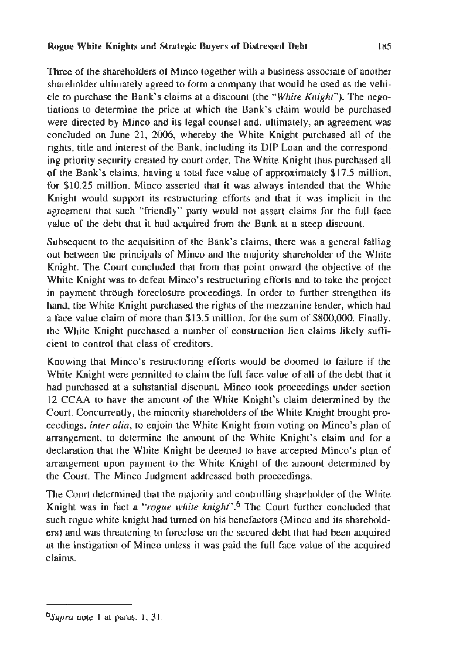#### Rogue White Knights and Strategic Buyers of Distressed Debt <sup>185</sup>

Three of the shareholders of Minco together with a business associate of another shareholder ultimately agreed to form a company that would be used as the vehicle to purchase the Bank's claims at a discount (the *''While Knight").* The negotiations lo determine the price at which the Bank's claim would be purchased were directed by Minco and its legal counsel and, ultimately, an agreement was concluded on June 21, 2006, whereby the White Knight purchased all of the rights, title and interest of the Bank, including its DIP Loan and the corresponding priority security created by court order. The White Knight thus purchased all of the Bank's claims, having a total face value of approximately \$17.5 million, for \$10.25 million. Minco asserted that it was always intended that the White Knight would support its restructuring efforts and that it was implicit in the agreement thar such "friendly" party would not assert claims for the full face value of the debt that it had acquired from the Bank at a steep discount.

Subsequent to the acquisition of the Bank's claims, there was a general falling out between the principals of Minco and the majority shareholder of the White Knight. The Court concluded that from that point onward the objective of the White Knight was to defeat Minco's restructuring efforts and to take the project in payment through foreclosure proceedings. In order to further strengthen its hand, the White Knight purchased the rights of the mezzanine lender, which had a face value claim of more than \$I 3.5 million, for the sum of \$800,000. Finally, Lhe Whire Knight purchased a number of construction lien claims likely sufficient to control that class of creditors.

Knowing that Minco's restructuring efforts would be doomed to failure if the While Knight were permitted to claim the full face value of all of the debt that it had purchased at a substantial discount, Minco took proceedings under section 12 CCAA lo have the amount of the White Knight's claim determined by the Court. Concurrently, the minority shareholders of the White Knight brought proceedings, *inter alia,* to enjoin the White Knight from voting on Minco's plan of arrangement, to determine the amount of the White Knight's claim and for a declaration that the White Knight be deemed to have accepted Minco's plan of arrangement upon payment to the White Knight of the amount determined by the Court. The Minco Judgment addressed both proceedings.

The Court determined that the majority and controlling shareholder of the White Knight was in fact a *" rogue white knight".*6 The Court further concluded that such rogue white knight had turned on his benefactors (Minco and its shareholders) and was threatening to foreclose on the secured debt that had been acquired at the instigation of Minco unless it was paid the full face value of the acquired claims.

 $6$ Supra note 1 at paras. 1, 31.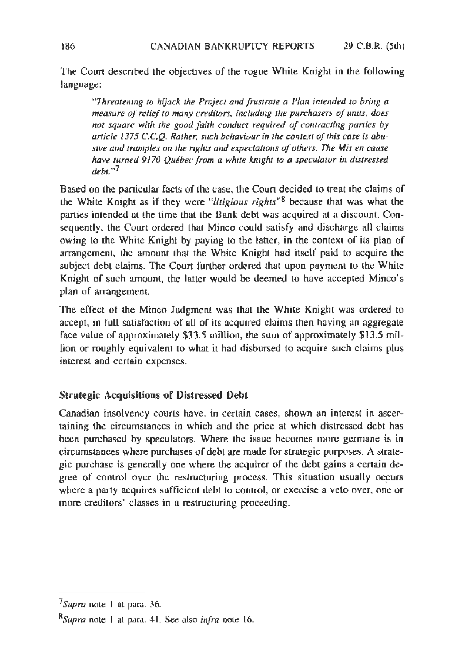The Court described the objectives of the rogue White Knight in the following language:

*''Threatening to hijack 1he Project a11d frustrate a Pla11 intended 10 bring a measure of relief to many creditors, including the purchasers of units, does* not square with the good faith conduct required of contracting parties by *urticle* J *375 C.C.Q. Rather, such behaviour in the contex1 of this case is abu*sive and tramples on the rights and expectations of others. The Mis en cause *ltave turned* 9170 *Quebec from a white knight to a speculator in distressed debt:•?* 

Based on the particular facts of the case, the Court decided to treat the claims of the White Knight as if they were "*litigious rights*"<sup>8</sup> because that was what the parties intended at the time that the Bank debt was acquired at a discount. Consequently, the Court ordered that Minco could satisfy and discharge all claims owing to the White Knight by paying to the latter, in the context of its plan of arrangement, the amount that the White Knight had itself paid to acquire the subject debt claims. The Court further ordered that upon payment to the White Knight of such amount, the latter would be deemed to have accepted Minco's plan of arrangement.

The effect of the Minco Judgment was that the White Knight was ordered to accept, in full satisfaction of all of its acquired claims then having an aggregate face value of approximately \$33.5 million, the sum of approximately \$13.5 million or roughly equivalent to what it had disbursed to acquire such claims plus interest and certain expenses.

## Strategic Acquisitions of Distressed **Oebt**

Canadian insolvency courts have, in certain cases, shown an interest in ascertaining the circumstances in which and the price at which distressed debt has been purchased by speculators. Where the issue becomes more germane is in circumstances where purchases of debt are made for strategic purposes. A strategic purchase is generally one where the acquirer of the debt gains a certain degree of control over the restructuring process. This situation usually occurs where a party acquires sufficient debt to control, or exercise a veto over, one or more creditors' classes in a restructuring proceeding.

<sup>7</sup> *Supra* note I at para. 36.

*Bsupra* note I at para. 41. See also *infra* note 16.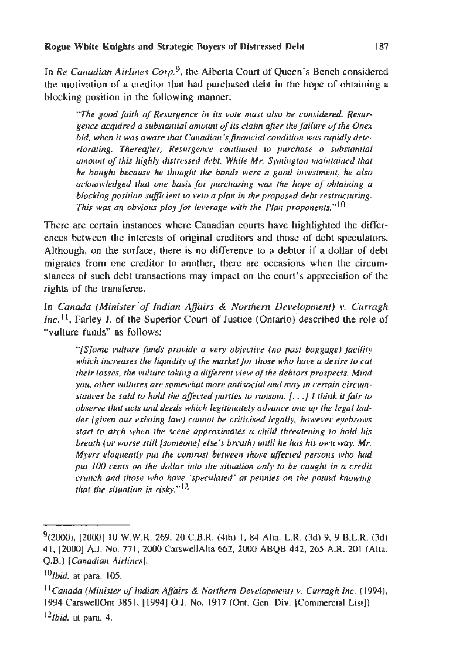1n *Re Canadian Airlines Corp. 9,* the Alberta Court of Queen's Bench considered the motivation of a creditor that had purchased debt in the hope of obtaining a blocking position in the following manner:

*"The good faith of Resurgence in its vote must also be considered. Resur*gence acquired a substantial amount of its claim after the failure of the Onex bid, when it was aware that Canadian's financial condition was rapidly deteriorating. Thereafter, Resurgence continued to purchase o substantial amount of this highly distressed debt. While Mr. Symington maintained that *he bought because he thought the bonds were a good investment, he also acknowledged thal one basis for purchasing was the hope of obtaining a blocking position sufficient to veto a plan in the proposed debt restructuring. This was an obvious ploy for leverage with the Plan proponents.*" $^{10}$ 

There are certain instances where Canadian courts have highlighted the differences between the interests of original creditors and those of debt speculators. Although, on the surface, there is no difference to a debtor if a dollar of debt migrates from one creditor to another, there are occasions when the circumstances of such debt transactions may impact on the court's appreciation of the rights of the transferee.

Jn *Canada (Minister ·of Indian Affairs* & *Northern Development) v. Curragh Inc.*<sup>11</sup>, Farley J. of the Superior Court of Justice (Ontario) described the role of " vulture funds" as follows:

*"[S]ome vulture funds provide a very objecti ve (no past baggage) facility*  which increases the liquidity of the market for those who have a desire to cut *their losses, the vulture toking a different view of the debtors prospects. Mind you, other vultures* are *somewhat more anfisocial* muf *may ln certain circumstances be said to hold the affected parties to ransom.* [...] *I think it fair to observe that acts and deeds which legifimately advance one up the legal ladder (given our existing law) cannot be criticised legally, however eyebrows start to arch when the scene approxinuues a child threatening to hold his breath (or worse still [someone] else's breath) until he has his own way. Mr. Myers eloquently put the contrast between those uffected persons who had* put 100 cents on the dollar into the situation only to be caught in a credit *crunch and those who have 'speculated' at pennies on the pound knowing that the situation is risky.*"<sup> $12$ </sup>

 $9(2000)$ , [2000] 10 W.W.R. 269, 20 C.B.R. (4th) 1, 84 Alta. L.R. (3d) 9, 9 B.L.R. (3d) 4 1, [2000] A.J. No. 77 1, 2000 CarswellAlta 662, 2000 ABQB 442, 265 A.R. 201 (Alta. Q.B.) *[Canadian Airlines].* 

*<sup>10/</sup>bid.* at para. 105.

<sup>&</sup>lt;sup>11</sup> Canada (Minister of Indian Affairs & Northern Development) v. Curragh Inc. (1994), 1994 CarswellOnt 385], l1994] 0.J. No. 1917 (Ont. Gen. Div. [Commercial List]) <sup>12</sup>*/bid.* at para. 4.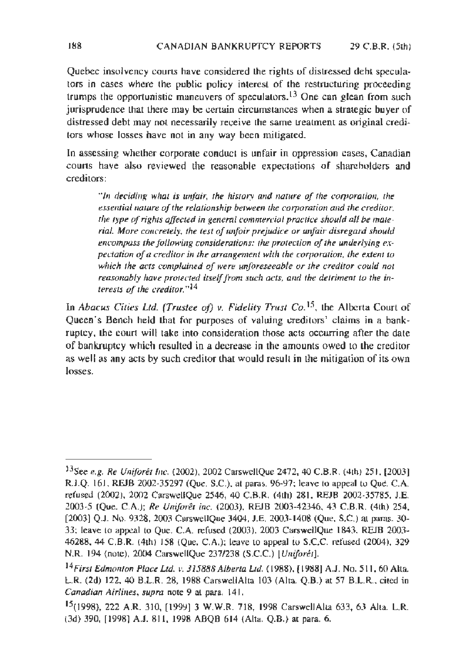Quebec insolvency courts have considered the rights of disLressed debt speculators in cases where the public policy interest of the restructuring proceeding trumps the opportunistic maneuvers of speculators.<sup>13</sup> One can glean from such jurisprudence that there may be certain circumstances when a strategic buyer of distressed debt may not necessarily receive lbe same treatment as original creditors whose losses have not in any way been mitigated.

ln assessing whether corporate conduct is unfair in oppression cases, Canadian courts have also reviewed the reasonable expectations of shareholders and creditors:

*" /11 deciding what is unfair, the his1ory and nawre of the corporation, the essemial nature of the relationship between the corporation and the creditor, the type of rights affected in general commercial practice should all be mate*rial. More concretely, the test of unfoir prejudice or unfair disregard should *encompass the following considerations: the protection of the underlying expectation of a creditor in the arrangement with the corporation, the extent to*  which the acts complained of were unforeseeable or the creditor could not *reasonably have protected itself from such acts, and the detriment to the interests of the creditor."* <sup>14</sup>

In *Abacus Cities Ltd. (Trustee of) v. Fidelity Trust Co.*<sup>15</sup>, the Alberta Court of Queen's Bench held that for purposes of valuing creditors' claims in a bankruptcy, the court wiH take into consideration those acts occurring after the date of bankruptcy which resulted in a decrease in the amounts owed to the creditor as well as any acts by such creditor that would result in the mitjgation of its own losses.

<sup>13</sup>See *e.g. Re Uniforet Inc.* (2002), 2002 CarswellQue 2472, 40 C.B.R. (4th) 251 , [2003) R.J.Q. 161 , REJB 2002-35297 (Que. S.C.). at pams. 96-97; leave to appeal to Que. C.A. refused (2002), 2002 CarswellQue 2546, 40 C.B.R. (4th) 281. REJB 2002-35785. J.E. 2003.5 (Que. C.A.); *Re Uniforet inc.* (2003). REJB 2003-42346, 43 C.B.R. (4th) 254, (2003) Q.J. No. 9328, 2003 CarswellQue 3404, J.E. 2003-1408 (Que, S.C.) at paras. 30-33; leave to appeal to Que. C.A. refused (2003), 2003 CarswellQue 1843, REJB 2003- 46288. 44 C.B.R. (4th) 158 (Que. C.A.); leave to appeal io S.C.C. refused (2004). 329 N.R. 194 (note), 2004 CarsweJIQue 237/238 (S.C.C.) *(U11iforet].* 

<sup>14</sup>*First Edmo111011 Place Ltd. v. 315888 Alberta Ltd.* (1988). [1988] A.J. No. 511, 60 Alta L.R. (2d) 122, 40 B.L.R. 28, 1988 CarswellAlta 103 (Alta\_ Q.B.) at 57 B.L.R .. cited in *Canadian Airlines, supra* note 9 at para. 141.

<sup>15(1998), 222</sup> A.R. 3 10, (1999] 3 W.W.R. 718, 1998 CarswellAILa 633, 63 Alta. L.R. (3d) 390, [1998] A.J. 811, 1998 ABQB 614 (Alta. Q.B.) at para. 6.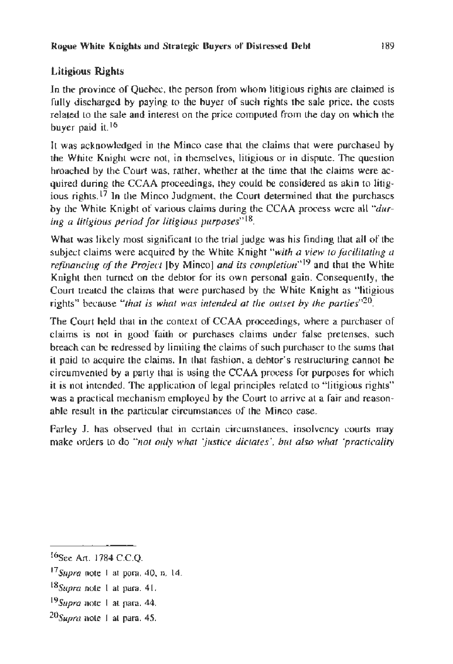## Litigious Rights

In the province of Quebec, the person from whom litigious rights are claimed is fully discharged by paying to the buyer of such rights the sale price, the costs related to the sale and interest on the price computed from the day on which the buyer paid it.<sup>16</sup>

It was acknowledged in the Minco case that the claims that were purchased by the White Knight were not, in themselves, litigious or in dispute. The question broached by the Court was, rather, whether at the time that the claims were acquired during the CCAA proceedings, they could be considered as akin to litigious rights.<sup>17</sup> In the Minco Judgment, the Court determined that the purchases by the White Knight of various claims during the CCAA process were all "dur*ing a litigious period for Litigious purposes"* 18.

What was likely most significant to the trial judge was his finding that all of the subject claims were acquired by the White Knight "with a view to facilitating a *refinancing of the Project* fby Minco] *and its completion"*19 and that the White Knight then turned on the debtor for its own personal gain. Consequently, the Court treated the claims that were purchased by the White Knight as "litigious rights" because *"that is what was intended at the outset by the parties* $v^{20}$ .

The Court held that in the context of CCAA proceedings, where a purchaser of claims is not in good 'faith or purchases claims under false pretenses, such breach can be redressed by limiting the claims of such purchaser to the sums that it paid to acquire the claims. In that fashion, a debtor's restructuring cannot be circumvented by a party that is using the CCAA process for purposes for which it is not intended. The application of legal principles related to "litigious rights" was a practical mechanism employed by the Court to arrive at a fair and reasonable result in the particular circumstances of the Minco case.

Farley J. has observed that in certain circumstances, insolvency courts may make orders 10 do *"not 011/y what 'justice dictates', but also what 'practicality* 

- $17$  Supra note 1 at para. 40, n. 14.
- 18supra note I at para. 41.
- l 9 *Supra* note I at para. 44.
- $^{20}$ *Supra* note 1 at para. 45.

I6see Art. 1784 C.C.Q.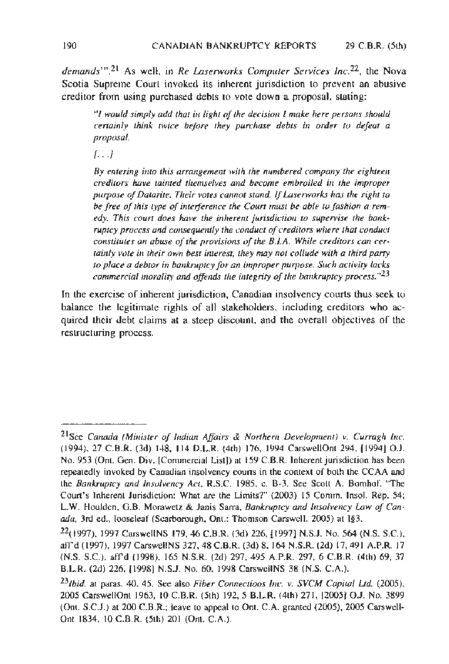*dema11ds"'.2t* As well, in *Re Laserworks Computer Services lnc.22,* rhe Nova Scotia Supreme Court invoked its inherent jurisdiction to prevent an abusive creditor from using purchased debts to vote down a proposal. stating:

<sup>"</sup>*I would simply add that in light of the decision I make here persons should certainly think twice before they purchase debts in order to defeat a proposal.* 

[ *...* ]

By entering into this arrangement with the numbered company the eighteen *creditors have tainted themselves and become embroiled in the improper purpose of Datarite. Their votes cannot stand.* If *Laserworks has the right to* be free of this type of interference the Court must be able to fashion a rem*edy. This couri does have the inherent jurisdiction to supervise the bankruptcy process and consequently the conduct of creditors where that conduct constitutes an abuse of the provisions of the B.I.A. While creditors can cer*tainly vote in their own best interest, they may not collude with a third party *to place a debior* in *bankruptcy for an improper purpose.* Such *activity lacks commercial morality and offends the integrity of the bankruptcy process."23* 

fn the exercise of inherent jurisdiction, Canadian insolvency courts tbus seek to balance the legitimate rights of all stakeholders, including creditors who acquired their debt claims at a steep discount, and the overall objectives of the restructuring process.

<sup>21</sup>Sce *Canada (Mi11ister of Indian Affairs* & *Northem Developme111)* v. *Curragh Inc.*  (1994), 27 C.B.R. (3d) 148, 114 D.L.R. (4th) 176, 1994 CarswellOnt 294, [1994] O.J. No. 953 (Ont. Gen. Div. [Commercial List]) at 159 C.B.R. Inherent jurisdiction has been repeatedly invoked by Canadian insolvency courts in the context of both the CCAA and the *Bankruptcy and Insolvency Act,* R.S.C. 1985, c. B-3. See Scott A. Bomhof. "The Court's Inherent Jurisdiction: What are the Limits?" (2003) 15 Comm. Insol. Rep. 54; L.W. Houlden, G.B. Morawetz & Janis Sarra, *Bankruptcy and Insolvency Law of Canada,* 3rd ed., looseleaf (Scarborough, Ont.: Thomson Carswell, 2005) at 1§3.

 $^{22}$ (1997), 1997 CarswellNS 179, 46 C.B.R. (3d) 226, [1997] N.S.J. No. 564 (N.S. S.C.), affd (1997), 1997 CarswellNS 327, 48 C.B.R. (3d) 8, 164 N.S.R. (2d) 17, 491 A.P.R. 17 (N.S. S.C.), aft'd (1998). 165 N.S.R. (2.d) 297, 495 A.P.R. 297, 6 C.B.R. (4th) 69, 37 B.L.R. (2d) 226, [1998] N.S.J. No. 60, 1998 CarswellNS 38 (N.S. C.A.).

*<sup>231</sup>bid.* at paras. 40. 45. See also *Fiber Connections Inc.* v. *SVCM Capital* Ltd. (2005), 2005 CarswellOnt 1963, 10 C.B.R. (5th) 192, 5 B.L.R. (4th) 271, [2005] O.J. No. 3899 (On!. S.C.J.) al 200 C.B.R.; leave to appeal to Ont. C.A. granted (2005), 2005 Carswell-Ont 1834, 10 C.B.R. (5th) 201 (OnL C.A.).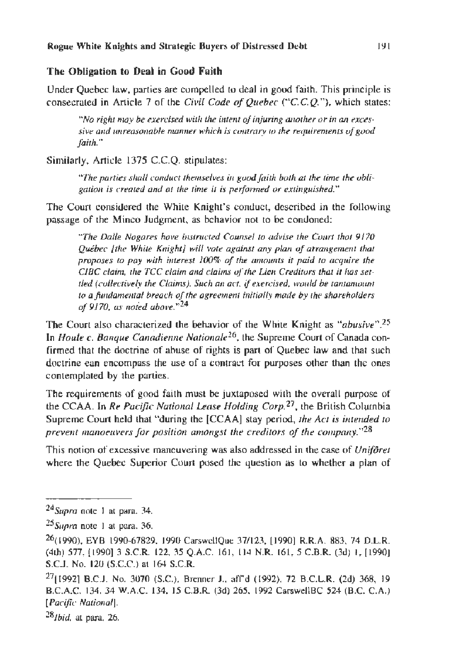#### The Obligation to Deal in Good Faith

Under Quebec law, parties are compelled to deal in good faith. This principle is consecrated in Article 7 of the *Civil Code of Quebec ("C.C. Q."),* which states:

"No right may be exercised with the intent of injuring another or in an excessive and unreasonable manner which is contrary to the requirements of good *faith."* 

Similarly, Article 1375 C.C.Q. stipulates:

*wrhe parties shall conduct themselves in guod faith both at the time the ubli*gation is created and at the time it is performed or extinguished."

The Court considered the White Knight's conduct, described in the following passage of the Minco Judgment, as behavior not to be condoned:

*"The Daile Nogares have i11stmcted Counsel to advise the Cmm that* 9170 *Quebec [the While Knight] will vote against any plan of arrangement that proposes to pay wi1h interest* 100% *of* 1he *amounts ii paid* 10 *acq11ire 1he CIBC claim, the TCC claim and claims of the Lien Creditors that it has set-1led (collectively the Claims). Such an act, if exercised, would be tantamount* to a *fundamental breach of the agreement initially made by the shareholders of 9170, as noted above:"l4* 

The Court also characterized the behavior of the While Knight as *"abusive".25*  In *Houle c. Banque Canadienne Nationale*<sup>26</sup>, the Supreme Court of Canada confirmed that the doctrine of abuse of rights is part of Quebec law and that such doctrine can encompass the use of a contract for purposes other than the ones contemplated by the parties.

The requirements of good faith must be juxtaposed with the overall purpose of the CCAA. In *Re Pacific National Lease Holding Corp.27,* the British Columbia Supreme Court held that "during the [CCAAJ stay period, *1he Act is intended to prevent manoeuvers for position amongst the creditors of the company.*"<sup>28</sup>

This notion of excessive maneuvering was also addressed in the case of *Uniforet*  where the Quebec Superior Court posed the question as to whether a plan of

*28/bid.* at para. 26.

*<sup>24</sup>supra* note I at para. 34.

<sup>&</sup>lt;sup>25</sup> Surra note 1 at para. 36.

<sup>26(1990).</sup> EYB 1990-67829, 1990 CarswcllQue 37/123, [1990] R.R.A. 883, 74 D.L.R. (4rh) 577, [1990] 3 S.C.R. 122. 35 Q.A.C. 161, 114 N.R. 161, 5 C.B.R. (3d) I, [1990] S.C.J. No. 120 (S.C.C.) at 164 S.C.R.

<sup>27[1992]</sup> B.C.J. No. 3070 (S.C.), Brenner J., afrd ( 1992), 72 B.C.L.R. (2d) 368, 19 B.C.A.C. 134, 34 W.A.C. 134, 15 C.B.R. (3d) 265, 1992 CarswellBC 524 (B.C. C.A.) *[Pacific National].*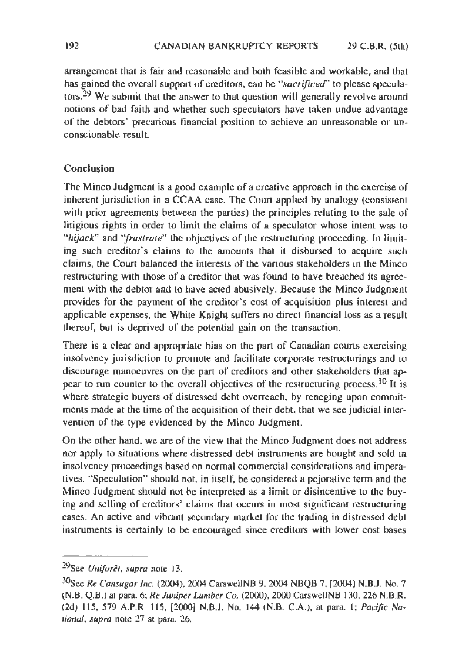arrangement that is fair and reasonable and both feasible and workable, and that has gained the overall support of creditors, can be *·'sacrificed"* to please speculators.<sup>29</sup> We submit that the answer to that question will generally revolve around notions of bad faith and whether such speculators have taken undue advantage of the debtors' precarious financial position to achieve an unreasonable or unconscionable result

## **Conclusion**

The Minco Judgment is a good example of a creative approach in the exercise of inherent jurisdiction in a CCAA case. The Court applied by analogy (consistent with prior agreements between the parties) the principles relating to the sale of litigious rights in order to limit the claims of a speculator whose intent was to *''hijack"* and *"frustrate"* the objectives of the restructuring proceeding. In limiting such creditor's claims to the amounts that it disbursed to acquire such claims, the Court balanced the interests of the various stakeholders in the Minco restructuring with those of a creditor that was found to have breached its agreement with the debtor and to have acted abusively. Because the Minco Judgment provides for the payment of the creditor's cost of acquisition plus interest and applicable expenses, the White Knight suffers no direct financial loss as a result thereof, but is deprived of the potential gain on the transaction.

There is a clear and appropriate bias on the part of Canadian courts exercising insolvency jurisdiction to promote and facilitate corporate reslructurings and to discourage manoeuvres on the part of creditors and other stakeholders that appear to run counter to the overall objectives of the restructuring process.<sup>30</sup> It is where strategic buyers of distressed debt overreach, by reneging upon commitments made at the time of the acquisition of their debt, that we see judicial intervention of the type evidenced by the Minco Judgment.

On the other hand, we are of the view that the Minco Judgment does not address nor apply to situations where distressed debt instruments are bought and sold in insolvency proceedings based on normal commercial considerations and imperatives. "Speculation" should not, in itself, be considered a pejorative term and the Minco Judgment should not be interpreted as a limit or disincentive to the buying and selling of creditors' claims that occurs in most significant restructuring cases. An active and vibrant secondary market for the trading in distressed debt instruments is certainJy to be encouraged since creditors with lower cost bases

<sup>29</sup>see *Unifore1. supra* noce 13.

<sup>30</sup>see *Re Cansugar Inc.* (2004), 2004 Carswe11NB 9, 2004 NBQB 7, [2004] N.B.J. No. 7 (N.B. Q.B.) at para. 6; *Re luniper Lumber Co.* (2000), 2000 Carswe!INB 130, 226 N.B.R. (2d) 115, 579 A.P.R. 115, [2000} N.B.J. No. 144 (N.B. C.A.), at para. l; *Pacific National, supra* note 27 at para. 26.